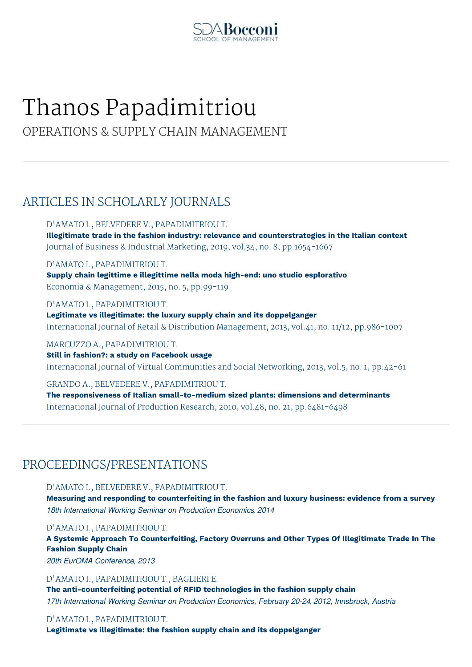

## Thanos Papadimitriou

OPERATIONS & SUPPLY CHAIN MANAGEMENT

## ARTICLES IN SCHOLARLY JOURNALS

D'AMATO I., BELVEDERE V., PAPADIMITRIOU T.

**Illegitimate trade in the fashion industry: relevance and counterstrategies in the Italian context** Journal of Business & Industrial Marketing, 2019, vol.34, no. 8, pp.1654-1667

D'AMATO I., PAPADIMITRIOU T.

**Supply chain legittime e illegittime nella moda high-end: uno studio esplorativo** Economia & Management, 2015, no. 5, pp.99-119

D'AMATO I., PAPADIMITRIOU T. **Legitimate vs illegitimate: the luxury supply chain and its doppelganger** International Journal of Retail & Distribution Management, 2013, vol.41, no. 11/12, pp.986-1007

MARCUZZO A., PAPADIMITRIOU T. **Still in fashion?: a study on Facebook usage** International Journal of Virtual Communities and Social Networking, 2013, vol.5, no. 1, pp.42-61

GRANDO A., BELVEDERE V., PAPADIMITRIOU T. **The responsiveness of Italian small-to-medium sized plants: dimensions and determinants** International Journal of Production Research, 2010, vol.48, no. 21, pp.6481-6498

## PROCEEDINGS/PRESENTATIONS

D'AMATO I., BELVEDERE V., PAPADIMITRIOU T.

**Measuring and responding to counterfeiting in the fashion and luxury business: evidence from a survey** *18th International Working Seminar on Production Economics, 2014*

D'AMATO I., PAPADIMITRIOU T.

**A Systemic Approach To Counterfeiting, Factory Overruns and Other Types Of Illegitimate Trade In The Fashion Supply Chain**

*20th EurOMA Conference, 2013*

D'AMATO I., PAPADIMITRIOU T., BAGLIERI E.

**The anti-counterfeiting potential of RFID technologies in the fashion supply chain** *17th International Working Seminar on Production Economics, February 20-24, 2012, Innsbruck, Austria*

## D'AMATO I., PAPADIMITRIOU T.

**Legitimate vs illegitimate: the fashion supply chain and its doppelganger**